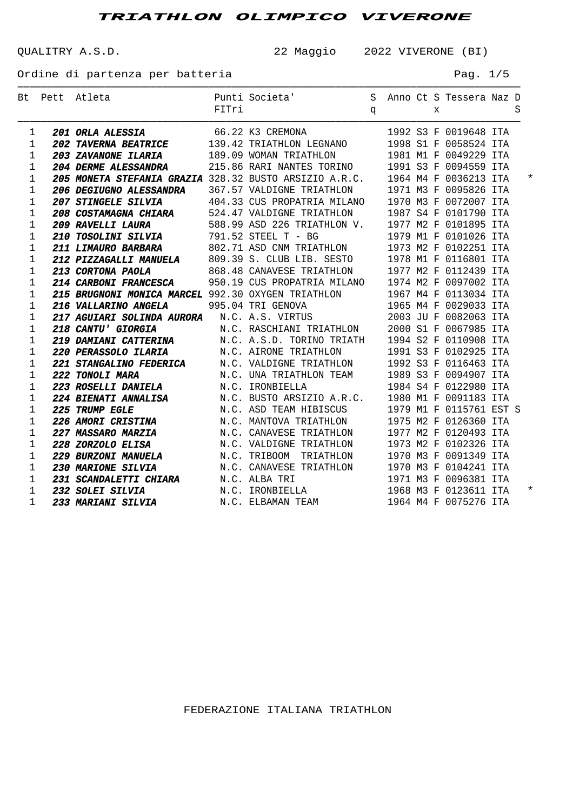QUALITRY A.S.D. 22 Maggio 2022 VIVERONE (BI)

Ordine di partenza per batteria en el pago de la pag. 1/5

|              | Bt Pett Atleta                                                                                                                                                                                      | Punti Societa' S Anno Ct S Tessera Naz D<br>FITri q x S                                                        |  |  |                         |  |  |
|--------------|-----------------------------------------------------------------------------------------------------------------------------------------------------------------------------------------------------|----------------------------------------------------------------------------------------------------------------|--|--|-------------------------|--|--|
|              |                                                                                                                                                                                                     |                                                                                                                |  |  |                         |  |  |
| 1            | <b>201 ORLA ALESSIA</b> 66.22 K3 CREMONA 1992 S3 F 0019648 ITA<br><b>202 TAVERNA BEATRICE</b> 139.42 TRIATHLON LEGNANO 1998 S1 F 0058524 ITA                                                        |                                                                                                                |  |  |                         |  |  |
| 1            |                                                                                                                                                                                                     |                                                                                                                |  |  |                         |  |  |
| 1            | 203 ZAVANONE ILARIA 189.09 WOMAN TRIATHLON                                                                                                                                                          |                                                                                                                |  |  | 1981 M1 F 0049229 ITA   |  |  |
| 1            | <b>204 DERME ALESSANDRA</b>                                                                                                                                                                         | 215.86 RARI NANTES TORINO                                                                                      |  |  | 1991 S3 F 0094559 ITA   |  |  |
| 1            | 205 MONETA STEFANIA GRAZIA 328.32 BUSTO ARSIZIO A.R.C. 1964 M4 F 0036213 ITA                                                                                                                        |                                                                                                                |  |  |                         |  |  |
| 1            | <b>206 DEGIUGNO ALESSANDRA</b>                                                                                                                                                                      | 367.57 VALDIGNE TRIATHLON                                                                                      |  |  | 1971 M3 F 0095826 ITA   |  |  |
| 1            | 207 STINGELE SILVIA                                                                                                                                                                                 | 404.33 CUS PROPATRIA MILANO 1970 M3 F 0072007 ITA                                                              |  |  |                         |  |  |
| 1            | 208 COSTAMAGNA CHIARA 524.47 VALDIGNE TRIATHLON 1987 S4 F 0101790 ITA                                                                                                                               |                                                                                                                |  |  |                         |  |  |
| 1            | 209 RAVELLI LAURA                                                                                                                                                                                   | 588.99 ASD 226 TRIATHLON V. 1977 M2 F 0101895 ITA                                                              |  |  |                         |  |  |
| 1            | 210 TOSOLINI SILVIA 791.52 STEEL T - BG                                                                                                                                                             |                                                                                                                |  |  | 1979 M1 F 0101026 ITA   |  |  |
| 1            | 211 LIMAURO BARBARA 602.71 ASD CNM TRIATHLON 1973 M2 F 0102251 ITA                                                                                                                                  |                                                                                                                |  |  |                         |  |  |
| 1            | 212 PIZZAGALLI MANUELA 809.39 S. CLUB LIB. SESTO 1978 M1 F 0116801 ITA                                                                                                                              |                                                                                                                |  |  |                         |  |  |
| 1            | 213 CORTONA PAOLA                                                                                                                                                                                   | 868.48 CANAVESE TRIATHLON 1977 M2 F 0112439 ITA                                                                |  |  |                         |  |  |
| 1            | 214 CARBONI FRANCESCA 950.19 CUS PROPATRIA MILANO 1974 M2 F 0097002 ITA                                                                                                                             |                                                                                                                |  |  |                         |  |  |
| 1            | 215 BRUGNONI MONICA MARCEL 992.30 OXYGEN TRIATHLON 1967 M4 F 0113034 ITA                                                                                                                            |                                                                                                                |  |  |                         |  |  |
| $\mathbf{1}$ | 216 VALLARINO ANGELA 995.04 TRI GENOVA                                                                                                                                                              | 1965 M4 F 0029033 ITA                                                                                          |  |  |                         |  |  |
| 1            | 217 AGUIARI SOLINDA AURORA N.C. A.S. VIRTUS 2003 JU F 0082063 ITA                                                                                                                                   |                                                                                                                |  |  |                         |  |  |
| 1            | 218 CANTU' GIORGIA N.C. RASCHIANI TRIATHLON                                                                                                                                                         |                                                                                                                |  |  | 2000 S1 F 0067985 ITA   |  |  |
| 1            | 219 DAMIANI CATTERINA N.C. A.S.D. TORINO TRIATH                                                                                                                                                     |                                                                                                                |  |  | 1994 S2 F 0110908 ITA   |  |  |
| 1            | 220 PERASSOLO ILARIA M.C. AIRONE TRIATHLON                                                                                                                                                          |                                                                                                                |  |  | 1991 S3 F 0102925 ITA   |  |  |
| 1            | 221 STANGALINO FEDERICA M.C. VALDIGNE TRIATHLON 1992 S3 F 0116463 ITA                                                                                                                               |                                                                                                                |  |  |                         |  |  |
| 1            | <b>222 TONOLI MARA 1989 S3 F 0094907 ITA</b><br><b>223 ROSELLI DANIELA</b> M.C. IRONBIELLA 1984 S4 F 0122980 ITA                                                                                    |                                                                                                                |  |  |                         |  |  |
| 1            |                                                                                                                                                                                                     |                                                                                                                |  |  |                         |  |  |
| 1            | 224 BIENATI ANNALISA M.C. BUSTO ARSIZIO A.R.C. 1980 M1 F 0091183 ITA                                                                                                                                |                                                                                                                |  |  |                         |  |  |
| 1            | 225 TRUMP EGLE                                                                                                                                                                                      | N.C. ASD TEAM HIBISCUS                                                                                         |  |  | 1979 M1 F 0115761 EST S |  |  |
| 1            | 226 AMORI CRISTINA N.C. MANTOVA TRIATHLON                                                                                                                                                           |                                                                                                                |  |  | 1975 M2 F 0126360 ITA   |  |  |
| 1            | 227 MASSARO MARZIA M.C. CANAVESE TRIATHLON                                                                                                                                                          |                                                                                                                |  |  | 1977 M2 F 0120493 ITA   |  |  |
| 1            | 228 ZORZOLO ELISA N.C. VALDIGNE TRIATHLON                                                                                                                                                           |                                                                                                                |  |  | 1973 M2 F 0102326 ITA   |  |  |
| 1            | 229 BURZONI MANUELA M.C. TRIBOOM TRIATHLON                                                                                                                                                          |                                                                                                                |  |  | 1970 M3 F 0091349 ITA   |  |  |
| 1            | <b>230 MARIONE SILVIA</b>                                                                                                                                                                           | N.C. CANAVESE TRIATHLON        1970 M3 F 0104241 ITA<br>N.C. ALBA TRI                    1971 M3 F 0096381 ITA |  |  |                         |  |  |
| 1            |                                                                                                                                                                                                     |                                                                                                                |  |  |                         |  |  |
| 1            |                                                                                                                                                                                                     |                                                                                                                |  |  |                         |  |  |
| 1            | <b>232 SOLEI SILVIA</b><br><b>232 SOLEI SILVIA</b><br><b>233 MARIANI SILVIA</b><br><b>233 MARIANI SILVIA</b><br><b>233 MARIANI SILVIA</b><br><b>233 MARIANI SILVIA</b><br><b>234 MARIANI SILVIA</b> |                                                                                                                |  |  |                         |  |  |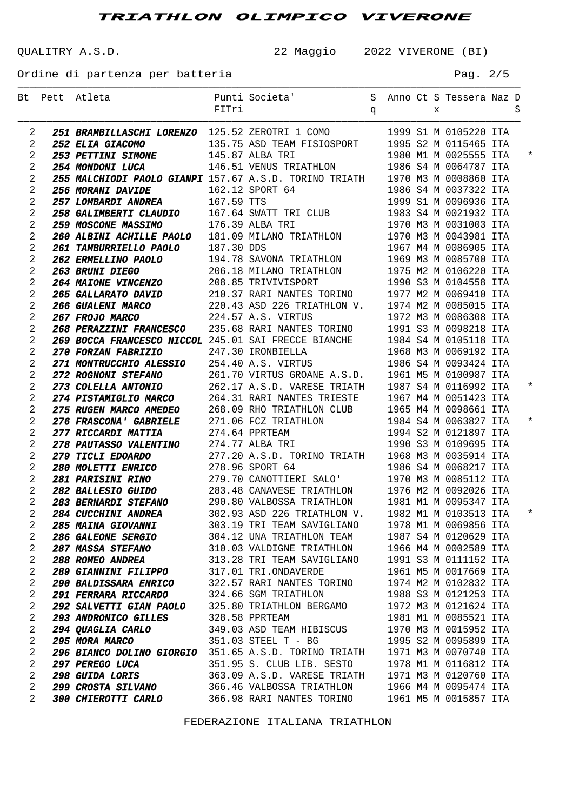───────────────────────────────────────────────────────────────────────────────────────

QUALITRY A.S.D. 22 Maggio 2022 VIVERONE (BI)

Ordine di partenza per batteria en el pago de la pag. 2/5

|                | Bt Pett Atleta                                                                                                                                                                                                                                           |                                                                           |  |  |                       |  |          |
|----------------|----------------------------------------------------------------------------------------------------------------------------------------------------------------------------------------------------------------------------------------------------------|---------------------------------------------------------------------------|--|--|-----------------------|--|----------|
|                |                                                                                                                                                                                                                                                          |                                                                           |  |  |                       |  |          |
| 2              | 251 BRAMBILLASCHI LORENZO 125.52 ZEROTRI 1 COMO                                                                                                                                                                                                          |                                                                           |  |  | 1999 S1 M 0105220 ITA |  |          |
| 2              | 252 ELIA GIACOMO                                                                                                                                                                                                                                         | 135.75 ASD TEAM FISIOSPORT 1995 S2 M 0115465 ITA                          |  |  |                       |  |          |
| 2              | 253 PETTINI SIMONE 145.87 ALBA TRI                                                                                                                                                                                                                       | 1980 M1 M 0025555 ITA                                                     |  |  |                       |  | $^\star$ |
| 2              | 254 MONDONI LUCA 146.51 VENUS TRIATHLON 1986 S4 M 0064787 ITA                                                                                                                                                                                            |                                                                           |  |  |                       |  |          |
| 2              | 255 MALCHIODI PAOLO GIANPI 157.67 A.S.D. TORINO TRIATH 1970 M3 M 0008860 ITA                                                                                                                                                                             |                                                                           |  |  |                       |  |          |
| 2              | <b>256 MORANI DAVIDE</b>                                                                                                                                                                                                                                 | 162.12 SPORT 64 1986 S4 M 0037322 ITA<br>167.59 TTS 1999 S1 M 0096936 ITA |  |  |                       |  |          |
| 2              | 257 LOMBARDI ANDREA 167.59 TTS                                                                                                                                                                                                                           |                                                                           |  |  |                       |  |          |
| 2              | 258 GALIMBERTI CLAUDIO 167.64 SWATT TRI CLUB 1983 S4 M 0021932 ITA                                                                                                                                                                                       |                                                                           |  |  |                       |  |          |
| 2              | <b>259 MOSCONE MASSIMO</b> 176.39 ALBA TRI 1970 M3 M 0031003 ITA                                                                                                                                                                                         |                                                                           |  |  |                       |  |          |
| 2              |                                                                                                                                                                                                                                                          |                                                                           |  |  |                       |  |          |
| 2              |                                                                                                                                                                                                                                                          |                                                                           |  |  |                       |  |          |
| 2              |                                                                                                                                                                                                                                                          |                                                                           |  |  |                       |  |          |
| 2              |                                                                                                                                                                                                                                                          |                                                                           |  |  |                       |  |          |
| 2              |                                                                                                                                                                                                                                                          |                                                                           |  |  |                       |  |          |
| 2              | <b>260 ALBINI ACHILE PAOLO</b> 197.39 ALBA TRI 1970 M3 M 0031003 ITA<br><b>260 ALBINI ACHILE PAOLO</b> 181.09 MILANO TRIATHLON 1970 M3 M 0043981 ITA<br><b>261 TAMBURRIELLO PAOLO</b> 187.30 DDS 1967 M4 M 0086905 ITA<br><b>262 ERMELLINO PAOLO</b> 194 |                                                                           |  |  |                       |  |          |
| 2              |                                                                                                                                                                                                                                                          |                                                                           |  |  |                       |  |          |
| 2              |                                                                                                                                                                                                                                                          |                                                                           |  |  |                       |  |          |
| 2              |                                                                                                                                                                                                                                                          |                                                                           |  |  |                       |  |          |
| 2              | 269 BOCCA FRANCESCO NICCOL 245.01 SAI FRECCE BIANCHE 1984 S4 M 0105118 ITA                                                                                                                                                                               |                                                                           |  |  |                       |  |          |
| 2              | <b>270 FORZAN FABRIZIO</b> 247.30 IRONBIELLA 1968 M3 M 0069192 ITA<br><b>271 MONTRUCCHIO ALESSIO</b> 254.40 A.S. VIRTUS 1986 S4 M 0093424 ITA                                                                                                            |                                                                           |  |  |                       |  |          |
| 2              |                                                                                                                                                                                                                                                          |                                                                           |  |  |                       |  |          |
| 2              | <b>272 ROGNONI STEFANO</b> 261.70 VIRTUS GROANE A.S.D. 1961 M5 M 0100987 ITA<br><b>273 COLELLA ANTONIO</b> 262.17 A.S.D. VARESE TRIATH 1987 S4 M 0116992 ITA                                                                                             |                                                                           |  |  |                       |  |          |
| 2              |                                                                                                                                                                                                                                                          |                                                                           |  |  |                       |  | $^\star$ |
| 2              | 274 PISTAMIGLIO MARCO 264.31 RARI NANTES TRIESTE 1967 M4 M 0051423 ITA                                                                                                                                                                                   |                                                                           |  |  |                       |  |          |
| 2              | 275 RUGEN MARCO AMEDEO 268.09 RHO TRIATHLON CLUB 1965 M4 M 0098661 ITA                                                                                                                                                                                   |                                                                           |  |  |                       |  |          |
| 2              | <b>276 FRASCONA' GABRIELE</b> 271.06 FCZ TRIATHLON 1984 S4 M 0063827 ITA<br><b>277 RICCARDI MATTIA</b> 274.64 PPRTEAM 1994 S2 M 0121897 ITA                                                                                                              |                                                                           |  |  |                       |  | $^\star$ |
| 2              |                                                                                                                                                                                                                                                          |                                                                           |  |  |                       |  |          |
| 2              | 278 PAUTASSO VALENTINO 274.77 ALBA TRI 1990 S3 M 0109695 ITA                                                                                                                                                                                             |                                                                           |  |  |                       |  |          |
| 2              | <b>279 TICLI EDOARDO</b> 277.20 A.S.D. TORINO TRIATH 1968 M3 M 0035914 ITA<br><b>280 MOLETTI ENRICO</b> 278.96 SPORT 64 1986 S4 M 0068217 ITA                                                                                                            |                                                                           |  |  |                       |  |          |
| 2              |                                                                                                                                                                                                                                                          |                                                                           |  |  |                       |  |          |
| 2              | 281 PARISINI RINO 279.70 CANOTTIERI SALO' 1970 M3 M 0085112 ITA                                                                                                                                                                                          |                                                                           |  |  |                       |  |          |
| $\overline{2}$ | 282 BALLESIO GUIDO 283.48 CANAVESE TRIATHLON 1976 M2 M 0092026 ITA                                                                                                                                                                                       |                                                                           |  |  |                       |  |          |
| 2              | 283 BERNARDI STEFANO 290.80 VALBOSSA TRIATHLON 1981 M1 M 0095347 ITA                                                                                                                                                                                     |                                                                           |  |  |                       |  |          |
| 2              | 284 CUCCHINI ANDREA 302.93 ASD 226 TRIATHLON V. 1982 M1 M 0103513 ITA                                                                                                                                                                                    |                                                                           |  |  |                       |  | $^\star$ |
| 2              | <b>285 MAINA GIOVANNI</b>                                                                                                                                                                                                                                | 303.19 TRI TEAM SAVIGLIANO                                                |  |  | 1978 M1 M 0069856 ITA |  |          |
| 2              | <b>286 GALEONE SERGIO</b>                                                                                                                                                                                                                                | 304.12 UNA TRIATHLON TEAM                                                 |  |  | 1987 S4 M 0120629 ITA |  |          |
| 2              | <i><b>287 MASSA STEFANO</b></i>                                                                                                                                                                                                                          | 310.03 VALDIGNE TRIATHLON                                                 |  |  | 1966 M4 M 0002589 ITA |  |          |
| 2              | <b>288 ROMEO ANDREA</b>                                                                                                                                                                                                                                  | 313.28 TRI TEAM SAVIGLIANO                                                |  |  | 1991 S3 M 0111152 ITA |  |          |
| 2              | <b>289 GIANNINI FILIPPO</b>                                                                                                                                                                                                                              | 317.01 TRI.ONDAVERDE                                                      |  |  | 1961 M5 M 0017669 ITA |  |          |
| 2              | <b>290 BALDISSARA ENRICO</b>                                                                                                                                                                                                                             | 322.57 RARI NANTES TORINO                                                 |  |  | 1974 M2 M 0102832 ITA |  |          |
| 2              | <b>291 FERRARA RICCARDO</b>                                                                                                                                                                                                                              | 324.66 SGM TRIATHLON                                                      |  |  | 1988 S3 M 0121253 ITA |  |          |
| 2              | <b>292 SALVETTI GIAN PAOLO</b>                                                                                                                                                                                                                           | 325.80 TRIATHLON BERGAMO                                                  |  |  | 1972 M3 M 0121624 ITA |  |          |
| 2              | <b>293 ANDRONICO GILLES</b>                                                                                                                                                                                                                              | 328.58 PPRTEAM                                                            |  |  | 1981 M1 M 0085521 ITA |  |          |
| 2              | <b>294 QUAGLIA CARLO</b>                                                                                                                                                                                                                                 | 349.03 ASD TEAM HIBISCUS                                                  |  |  | 1970 M3 M 0015952 ITA |  |          |
| 2              | 295 MORA MARCO                                                                                                                                                                                                                                           | 351.03 STEEL T - BG                                                       |  |  | 1995 S2 M 0095899 ITA |  |          |
| 2              | 296 BIANCO DOLINO GIORGIO 351.65 A.S.D. TORINO TRIATH                                                                                                                                                                                                    |                                                                           |  |  | 1971 M3 M 0070740 ITA |  |          |
| 2              | <i><b>297 PEREGO LUCA</b></i>                                                                                                                                                                                                                            | 351.95 S. CLUB LIB. SESTO                                                 |  |  | 1978 M1 M 0116812 ITA |  |          |
| 2              | <b>298 GUIDA LORIS</b>                                                                                                                                                                                                                                   | 363.09 A.S.D. VARESE TRIATH                                               |  |  | 1971 M3 M 0120760 ITA |  |          |
| 2              | <i><b>299 CROSTA SILVANO</b></i>                                                                                                                                                                                                                         | 366.46 VALBOSSA TRIATHLON                                                 |  |  | 1966 M4 M 0095474 ITA |  |          |
| 2              | <i><b>300 CHIEROTTI CARLO</b></i>                                                                                                                                                                                                                        | 366.98 RARI NANTES TORINO                                                 |  |  | 1961 M5 M 0015857 ITA |  |          |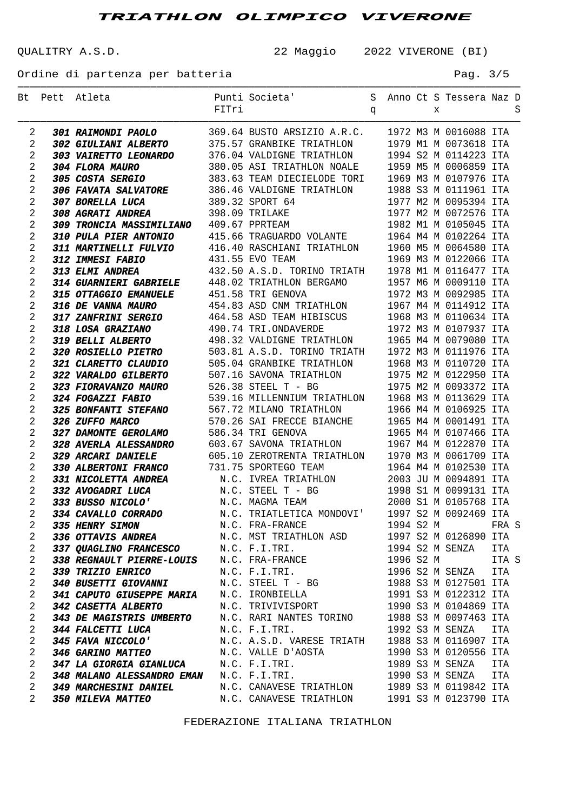───────────────────────────────────────────────────────────────────────────────────────

QUALITRY A.S.D. 22 Maggio 2022 VIVERONE (BI)

Ordine di partenza per batteria en el pago de la pag. 3/5

|                | Bt Pett Atleta                                                                                                                                                                                                                                     |       | S Anno Ct S Tessera Naz D<br>Punti Societa'                                                                                                                                                                                                        |   |           |   |                       |       |   |
|----------------|----------------------------------------------------------------------------------------------------------------------------------------------------------------------------------------------------------------------------------------------------|-------|----------------------------------------------------------------------------------------------------------------------------------------------------------------------------------------------------------------------------------------------------|---|-----------|---|-----------------------|-------|---|
|                |                                                                                                                                                                                                                                                    | FITri |                                                                                                                                                                                                                                                    | q |           | х |                       |       | S |
| 2              | 301 RAIMONDI PAOLO 369.64 BUSTO ARSIZIO A.R.C. 1972 M3 M 0016088 ITA                                                                                                                                                                               |       |                                                                                                                                                                                                                                                    |   |           |   |                       |       |   |
| 2              | 302 GIULIANI ALBERTO 375.57 GRANBIKE TRIATHLON 1979 M1 M 0073618 ITA                                                                                                                                                                               |       |                                                                                                                                                                                                                                                    |   |           |   |                       |       |   |
| 2              | 304 FLORA MAURO<br>380.05 ASI TRIATHLON MOALE<br>305 COSTA SERGIO<br>383.63 TEAM DIECIELODE TORI<br>306 FAVATA SALVATORE<br>386.46 VALDIGNE TRIATHLON 1988 S3 M 0111961 ITA<br>307 BORELLA LUCA<br>389.32 SPORT 64<br>309 MORELLA LUCA<br>389.32   |       |                                                                                                                                                                                                                                                    |   |           |   |                       |       |   |
| 2              |                                                                                                                                                                                                                                                    |       |                                                                                                                                                                                                                                                    |   |           |   |                       |       |   |
| $\sqrt{2}$     |                                                                                                                                                                                                                                                    |       |                                                                                                                                                                                                                                                    |   |           |   |                       |       |   |
| 2              |                                                                                                                                                                                                                                                    |       |                                                                                                                                                                                                                                                    |   |           |   |                       |       |   |
| 2              |                                                                                                                                                                                                                                                    |       |                                                                                                                                                                                                                                                    |   |           |   |                       |       |   |
| $\sqrt{2}$     | 308 AGRATI ANDREA                                                                                                                                                                                                                                  |       |                                                                                                                                                                                                                                                    |   |           |   |                       |       |   |
| 2              | 309 TRONCIA MASSIMILIANO 409.67 PPRTEAM                                                                                                                                                                                                            |       |                                                                                                                                                                                                                                                    |   |           |   |                       |       |   |
| 2              |                                                                                                                                                                                                                                                    |       | 389.32 SPORT 64<br>389.32 SPORT 64<br>398.09 TRILAKE<br>409.67 PPRTEAM<br>415.66 TRAGUARDO VOLANTE<br>415.66 TRAGUARDO VOLANTE<br>415.66 TRAGUARDO VOLANTE<br>419.415.66 TRAGUARDO VOLANTE<br>409.67 PPRTEAM<br>415.66 TRAGUARDO VOLANTE<br>409.41 |   |           |   |                       |       |   |
| $\sqrt{2}$     | 310 PULA PIER ANTONIO 415.66 TRAGUARDO VOLANIE (1960 M5 M 0064580 ITA<br>311 MARTINELLI PULVIO 416.40 RASCHIANI TRIATHLON 1960 M5 M 0064580 ITA                                                                                                    |       |                                                                                                                                                                                                                                                    |   |           |   |                       |       |   |
| 2              |                                                                                                                                                                                                                                                    |       |                                                                                                                                                                                                                                                    |   |           |   |                       |       |   |
| 2              |                                                                                                                                                                                                                                                    |       |                                                                                                                                                                                                                                                    |   |           |   |                       |       |   |
| $\sqrt{2}$     | 312 IMMESI FABIO<br>312 IMMESI FABIO<br>313 ELMI ANDREA<br>314 GUARNIERI GABRIELE<br>314 GUARNIERI GABRIELE<br>448.02 TRIATHLON BERGAMO<br>1957 M6 M 009210 ITA<br>315 OF VANNA MAURO<br>454.83 ASD CNM TRIATHLON<br>454.83 ASD CNM TRIATHLON<br>1 |       |                                                                                                                                                                                                                                                    |   |           |   |                       |       |   |
| 2              |                                                                                                                                                                                                                                                    |       |                                                                                                                                                                                                                                                    |   |           |   |                       |       |   |
| 2              |                                                                                                                                                                                                                                                    |       |                                                                                                                                                                                                                                                    |   |           |   |                       |       |   |
| $\sqrt{2}$     |                                                                                                                                                                                                                                                    |       |                                                                                                                                                                                                                                                    |   |           |   |                       |       |   |
| 2              |                                                                                                                                                                                                                                                    |       |                                                                                                                                                                                                                                                    |   |           |   |                       |       |   |
| 2              |                                                                                                                                                                                                                                                    |       |                                                                                                                                                                                                                                                    |   |           |   |                       |       |   |
| $\sqrt{2}$     |                                                                                                                                                                                                                                                    |       |                                                                                                                                                                                                                                                    |   |           |   |                       |       |   |
| 2              | 321 CLARETTO CLAUDIO                                                                                                                                                                                                                               |       | 505.04 GRANBIKE TRIATHLON 1968 M3 M 0110720 ITA                                                                                                                                                                                                    |   |           |   |                       |       |   |
| 2              | 322 VARALDO GILBERTO                                                                                                                                                                                                                               |       |                                                                                                                                                                                                                                                    |   |           |   |                       |       |   |
| $\sqrt{2}$     | 323 FIORAVANZO MAURO                                                                                                                                                                                                                               |       | 507.16 SAVONA TRIATHLON 1975 M2 M 0122950 ITA<br>526.38 STEEL T - BG 1975 M2 M 0093372 ITA                                                                                                                                                         |   |           |   |                       |       |   |
| 2              | 324 FOGAZZI FABIO                                                                                                                                                                                                                                  |       | 539.16 MILLENNIUM TRIATHLON 1968 M3 M 0113629 ITA                                                                                                                                                                                                  |   |           |   |                       |       |   |
| 2              | <b>325 BONFANTI STEFANO</b>                                                                                                                                                                                                                        |       | 567.72 MILANO TRIATHLON 1906 M3 M 0115629 IIA<br>567.72 MILANO TRIATHLON 1966 M4 M 0106925 ITA<br>570.26 SAI FRECCE BIANCHE 1965 M4 M 0001491 ITA<br>586.34 TRI GENOVA 1965 M4 M 0107466 ITA<br>603.67 SAVONA TRIATHLON 1967 M4 M 0122870          |   |           |   |                       |       |   |
| $\sqrt{2}$     | 326 ZUFFO MARCO                                                                                                                                                                                                                                    |       |                                                                                                                                                                                                                                                    |   |           |   |                       |       |   |
| 2              | 327 DAMONTE GEROLAMO                                                                                                                                                                                                                               |       |                                                                                                                                                                                                                                                    |   |           |   |                       |       |   |
| 2              | <b>328 AVERLA ALESSANDRO</b>                                                                                                                                                                                                                       |       |                                                                                                                                                                                                                                                    |   |           |   |                       |       |   |
| $\sqrt{2}$     | 329 ARCARI DANIELE                                                                                                                                                                                                                                 |       | 605.10 ZEROTRENTA TRIATHLON 1970 M3 M 0061709 ITA                                                                                                                                                                                                  |   |           |   |                       |       |   |
| 2              | 329 ARCARI DANIBLE 605.10 ZEROTRENTA TRIATHLON 1970 M3 M 0061709 ITA<br>330 ALBERTONI FRANCO 731.75 SPORTEGO TEAM 1964 M4 M 0102530 ITA<br>331 NICOLETTA ANDREA N.C. IVREA TRIATHLON 2003 JU M 0094891 ITA<br>332 AVOGADRI LUCA N.C.               |       |                                                                                                                                                                                                                                                    |   |           |   |                       |       |   |
| 2              |                                                                                                                                                                                                                                                    |       |                                                                                                                                                                                                                                                    |   |           |   |                       |       |   |
| 2              |                                                                                                                                                                                                                                                    |       |                                                                                                                                                                                                                                                    |   |           |   |                       |       |   |
| 2              |                                                                                                                                                                                                                                                    |       |                                                                                                                                                                                                                                                    |   |           |   |                       |       |   |
| $\mathfrak{D}$ |                                                                                                                                                                                                                                                    |       |                                                                                                                                                                                                                                                    |   |           |   |                       |       |   |
| 2              | 335 HENRY SIMON                                                                                                                                                                                                                                    |       | N.C. FRA-FRANCE                                                                                                                                                                                                                                    |   | 1994 S2 M |   |                       | FRA S |   |
| 2              | 336 OTTAVIS ANDREA                                                                                                                                                                                                                                 |       | N.C. MST TRIATHLON ASD 1997 S2 M 0126890 ITA                                                                                                                                                                                                       |   |           |   |                       |       |   |
| 2              | 337 QUAGLINO FRANCESCO N.C. F.I.TRI.                                                                                                                                                                                                               |       |                                                                                                                                                                                                                                                    |   |           |   | 1994 S2 M SENZA       | ITA   |   |
| 2              | 338 REGNAULT PIERRE-LOUIS                                                                                                                                                                                                                          |       | N.C. FRA-FRANCE                                                                                                                                                                                                                                    |   | 1996 S2 M |   |                       | ITA S |   |
| 2              | <i><b>339 TRIZIO ENRICO</b></i>                                                                                                                                                                                                                    |       | N.C. F.I.TRI.                                                                                                                                                                                                                                      |   |           |   | 1996 S2 M SENZA       | ITA   |   |
| 2              | <i>340 BUSETTI GIOVANNI</i>                                                                                                                                                                                                                        |       |                                                                                                                                                                                                                                                    |   |           |   | 1988 S3 M 0127501 ITA |       |   |
| 2              | 341 CAPUTO GIUSEPPE MARIA                                                                                                                                                                                                                          |       | N.C. STEEL T - BG<br>N.C. IRONBIELLA                                                                                                                                                                                                               |   |           |   | 1991 S3 M 0122312 ITA |       |   |
| 2              | 342 CASETTA ALBERTO                                                                                                                                                                                                                                |       | N.C. TRIVIVISPORT                                                                                                                                                                                                                                  |   |           |   | 1990 S3 M 0104869 ITA |       |   |
| 2              | <b>343 DE MAGISTRIS UMBERTO</b>                                                                                                                                                                                                                    |       | N.C. RARI NANTES TORINO 1988 S3 M 0097463 ITA                                                                                                                                                                                                      |   |           |   |                       |       |   |
| 2              | <b>344 FALCETTI LUCA</b>                                                                                                                                                                                                                           |       | N.C. F.I.TRI.                                                                                                                                                                                                                                      |   |           |   | 1992 S3 M SENZA       | ITA   |   |
| 2              | 345 FAVA NICCOLO'                                                                                                                                                                                                                                  |       | N.C. A.S.D. VARESE TRIATH 1988 S3 M 0116907 ITA                                                                                                                                                                                                    |   |           |   |                       |       |   |
| 2              | <b>346 GARINO MATTEO</b>                                                                                                                                                                                                                           |       | N.C. VALLE D'AOSTA                                                                                                                                                                                                                                 |   |           |   | 1990 S3 M 0120556 ITA |       |   |
| 2              | <b>347 LA GIORGIA GIANLUCA</b>                                                                                                                                                                                                                     |       | N.C. F.I.TRI.<br>N.C. F.I.TRI.                                                                                                                                                                                                                     |   |           |   | 1989 S3 M SENZA       | ITA   |   |
| 2              | <b>348 MALANO ALESSANDRO EMAN</b>                                                                                                                                                                                                                  |       |                                                                                                                                                                                                                                                    |   |           |   | 1990 S3 M SENZA       | ITA   |   |
| 2              | 349 MARCHESINI DANIEL                                                                                                                                                                                                                              |       | N.C. CANAVESE TRIATHLON                                                                                                                                                                                                                            |   |           |   | 1989 S3 M 0119842 ITA |       |   |
| 2              | 350 MILEVA MATTEO                                                                                                                                                                                                                                  |       | N.C. CANAVESE TRIATHLON                                                                                                                                                                                                                            |   |           |   | 1991 S3 M 0123790 ITA |       |   |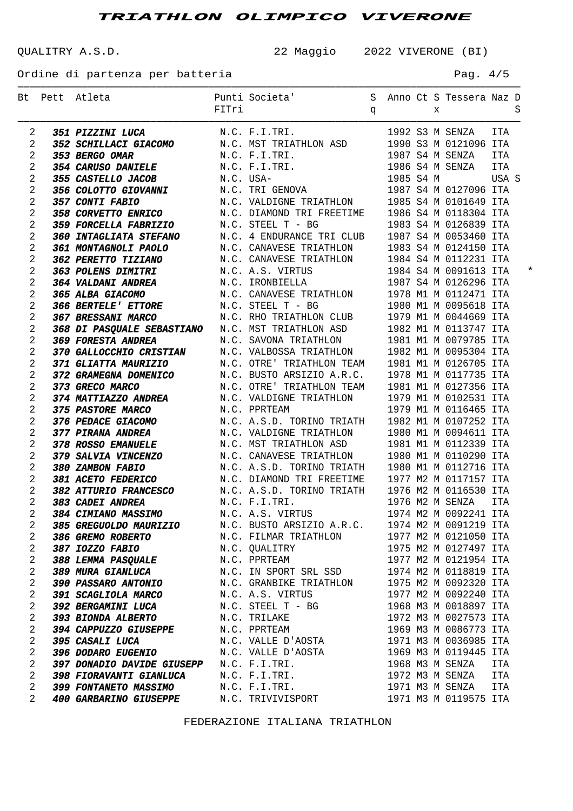QUALITRY A.S.D. 22 Maggio 2022 VIVERONE (BI)

Ordine di partenza per batteria en el pago de la pag. 4/5

|                |                | Bt Pett Atleta                                                         | FITri     | Punti Societa' Sanno Ct S Tessera Naz D                                                                 | q |           | X |                       |            | S        |
|----------------|----------------|------------------------------------------------------------------------|-----------|---------------------------------------------------------------------------------------------------------|---|-----------|---|-----------------------|------------|----------|
| 2              |                | <b>351 PIZZINI LUCA</b>                                                |           | N.C. F.I.TRI.                                                                                           |   |           |   | 1992 S3 M SENZA ITA   |            |          |
| $\overline{2}$ |                | 352 SCHILLACI GIACOMO                                                  |           | N.C. MST TRIATHLON ASD 1990 S3 M 0121096 ITA                                                            |   |           |   |                       |            |          |
| 2              |                | 353 BERGO OMAR                                                         |           | N.C. F.I.TRI.                                                                                           |   |           |   | 1987 S4 M SENZA ITA   |            |          |
| $\overline{2}$ |                | <b>354 CARUSO DANIELE</b>                                              |           | N.C. F.I.TRI.                                                                                           |   |           |   | 1986 S4 M SENZA       | <b>ITA</b> |          |
| $\overline{2}$ |                | <b>355 CASTELLO JACOB</b>                                              | N.C. USA- |                                                                                                         |   | 1985 S4 M |   | USA S                 |            |          |
| $\overline{2}$ |                | 356 COLOTTO GIOVANNI $N.C. TRI GENOVA$                                 |           |                                                                                                         |   |           |   | 1987 S4 M 0127096 ITA |            |          |
| $\overline{a}$ |                | 357 CONTI FABIO                                                        |           | N.C. VALDIGNE TRIATHLON                                                                                 |   |           |   | 1985 S4 M 0101649 ITA |            |          |
| $\overline{a}$ |                | <b>358 CORVETTO ENRICO</b>                                             |           | N.C. DIAMOND TRI FREETIME                                                                               |   |           |   | 1986 S4 M 0118304 ITA |            |          |
| $\overline{2}$ |                | <b>359 FORCELLA FABRIZIO</b>                                           |           | N.C. STEEL T - BG                                                                                       |   |           |   | 1983 S4 M 0126839 ITA |            |          |
| $\overline{2}$ |                | <b>360 INTAGLIATA STEFANO</b>                                          |           | N.C. 4 ENDURANCE TRI CLUB                                                                               |   |           |   | 1987 S4 M 0053460 ITA |            |          |
| $\overline{2}$ |                | 361 MONTAGNOLI PAOLO                                                   |           | N.C. CANAVESE TRIATHLON                                                                                 |   |           |   | 1983 S4 M 0124150 ITA |            |          |
| $\overline{a}$ |                | 362 PERETTO TIZIANO                                                    |           | N.C. CANAVESE TRIATHLON                                                                                 |   |           |   | 1984 S4 M 0112231 ITA |            |          |
| $\overline{a}$ |                | <b>363 POLENS DIMITRI</b>                                              |           | N.C. A.S. VIRTUS                                                                                        |   |           |   | 1984 S4 M 0091613 ITA |            | $^\star$ |
| $\overline{2}$ |                | <b>364 VALDANI ANDREA</b>                                              |           | N.C. IRONBIELLA                                                                                         |   |           |   | 1987 S4 M 0126296 ITA |            |          |
| $\overline{2}$ |                | 365 ALBA GIACOMO                                                       |           | N.C. CANAVESE TRIATHLON                                                                                 |   |           |   | 1978 M1 M 0112471 ITA |            |          |
| $\overline{2}$ |                | <b>366 BERTELE' ETTORE</b>                                             |           | N.C. STEEL T - BG                                                                                       |   |           |   | 1980 M1 M 0095618 ITA |            |          |
| $\overline{a}$ |                | <b>367 BRESSANI MARCO</b>                                              |           | N.C. RHO TRIATHLON CLUB                                                                                 |   |           |   | 1979 M1 M 0044669 ITA |            |          |
| $\overline{a}$ |                | 368 DI PASQUALE SEBASTIANO N.C. MST TRIATHLON ASD                      |           |                                                                                                         |   |           |   | 1982 M1 M 0113747 ITA |            |          |
| $\overline{2}$ |                | 369 FORESTA ANDREA                                                     |           | N.C. SAVONA TRIATHLON                                                                                   |   |           |   | 1981 M1 M 0079785 ITA |            |          |
| $\overline{2}$ |                | 370 GALLOCCHIO CRISTIAN                                                |           | N.C. VALBOSSA TRIATHLON                                                                                 |   |           |   | 1982 M1 M 0095304 ITA |            |          |
| $\overline{2}$ |                | <i>371 GLIATTA MAURIZIO</i>                                            |           | N.C. OTRE' TRIATHLON TEAM                                                                               |   |           |   | 1981 M1 M 0126705 ITA |            |          |
| $\overline{a}$ |                | 372 GRAMEGNA DOMENICO                                                  |           | N.C. BUSTO ARSIZIO A.R.C.                                                                               |   |           |   | 1978 M1 M 0117735 ITA |            |          |
| $\overline{a}$ |                | 373 GRECO MARCO                                                        |           | N.C. OTRE' TRIATHLON TEAM                                                                               |   |           |   | 1981 M1 M 0127356 ITA |            |          |
| $\overline{2}$ |                | 374 MATTIAZZO ANDREA                                                   |           | N.C. VALDIGNE TRIATHLON                                                                                 |   |           |   | 1979 M1 M 0102531 ITA |            |          |
| $\overline{2}$ |                | <b>375 PASTORE MARCO</b>                                               |           | N.C. PPRTEAM                                                                                            |   |           |   | 1979 M1 M 0116465 ITA |            |          |
| $\overline{a}$ |                | <b>376 PEDACE GIACOMO</b>                                              |           | N.C. A.S.D. TORINO TRIATH                                                                               |   |           |   | 1982 M1 M 0107252 ITA |            |          |
| $\overline{a}$ |                | <i>377 PIRANA ANDREA</i>                                               |           | N.C. VALDIGNE TRIATHLON                                                                                 |   |           |   | 1980 M1 M 0094611 ITA |            |          |
| $\overline{a}$ |                | <b>378 ROSSO EMANUELE</b>                                              |           | N.C. MST TRIATHLON ASD                                                                                  |   |           |   | 1981 M1 M 0112339 ITA |            |          |
| $\overline{2}$ |                | <i><b>379 SALVIA VINCENZO</b></i>                                      |           | N.C. CANAVESE TRIATHLON                                                                                 |   |           |   | 1980 M1 M 0110290 ITA |            |          |
| $\overline{a}$ |                | 380 ZAMBON FABIO                                                       |           |                                                                                                         |   |           |   | 1980 M1 M 0112716 ITA |            |          |
| $\overline{a}$ |                | <b>381 ACETO FEDERICO</b>                                              |           | N.C. A.S.D. TORINO TRIATH                                                                               |   |           |   |                       |            |          |
| $\overline{2}$ |                | <b>382 ATTURIO FRANCESCO</b>                                           |           | N.C. DIAMOND TRI FREETIME    1977 M2 M 0117157 ITA<br>N.C. A.S.D. TORINO TRIATH   1976 M2 M 0116530 ITA |   |           |   |                       |            |          |
| $\overline{2}$ |                | 383 CADEI ANDREA                                                       |           | N.C. F.I.TRI.                                                                                           |   |           |   | 1976 M2 M SENZA       | <b>ITA</b> |          |
|                | $\overline{2}$ | <b>384 CIMIANO MASSIMO</b>                                             |           | N.C. A.S. VIRTUS                                                                                        |   |           |   | 1974 M2 M 0092241 ITA |            |          |
| $\overline{2}$ |                | 385 GREGUOLDO MAURIZIO M.C. BUSTO ARSIZIO A.R.C. 1974 M2 M 0091219 ITA |           |                                                                                                         |   |           |   |                       |            |          |
| $\overline{a}$ |                | <b>386 GREMO ROBERTO</b>                                               |           | N.C. FILMAR TRIATHLON                                                                                   |   |           |   | 1977 M2 M 0121050 ITA |            |          |
| $\overline{2}$ |                | <i><b>387 IOZZO FABIO</b></i>                                          |           | N.C. QUALITRY                                                                                           |   |           |   | 1975 M2 M 0127497 ITA |            |          |
| 2              |                | <i><b>388 LEMMA PASQUALE</b></i>                                       |           | N.C. PPRTEAM                                                                                            |   |           |   | 1977 M2 M 0121954 ITA |            |          |
| $\overline{2}$ |                | <b>389 MURA GIANLUCA</b>                                               |           | N.C. IN SPORT SRL SSD                                                                                   |   |           |   | 1974 M2 M 0118819 ITA |            |          |
| $\overline{2}$ |                | <b>390 PASSARO ANTONIO</b>                                             |           | N.C. GRANBIKE TRIATHLON 1975 M2 M 0092320 ITA                                                           |   |           |   |                       |            |          |
| $\overline{2}$ |                | <b>391 SCAGLIOLA MARCO</b>                                             |           | N.C. A.S. VIRTUS                                                                                        |   |           |   | 1977 M2 M 0092240 ITA |            |          |
| $\overline{2}$ |                | <b>392 BERGAMINI LUCA</b>                                              |           | N.C. STEEL T - BG                                                                                       |   |           |   | 1968 M3 M 0018897 ITA |            |          |
| 2              |                | <b>393 BIONDA ALBERTO</b>                                              |           | N.C. TRILAKE                                                                                            |   |           |   | 1972 M3 M 0027573 ITA |            |          |
| 2              |                | 394 CAPPUZZO GIUSEPPE                                                  |           | N.C. PPRTEAM                                                                                            |   |           |   | 1969 M3 M 0086773 ITA |            |          |
| $\overline{2}$ |                | <i><b>395 CASALI LUCA</b></i>                                          |           | N.C. VALLE D'AOSTA                                                                                      |   |           |   | 1971 M3 M 0036985 ITA |            |          |
| $\overline{2}$ |                | 396 DODARO EUGENIO N.C. VALLE D'AOSTA                                  |           |                                                                                                         |   |           |   | 1969 M3 M 0119445 ITA |            |          |
| $\overline{2}$ |                | 397 DONADIO DAVIDE GIUSEPP N.C. F.I.TRI.                               |           |                                                                                                         |   |           |   | 1968 M3 M SENZA       | ITA        |          |
| $\overline{2}$ |                |                                                                        |           |                                                                                                         |   |           |   | 1972 M3 M SENZA       | ITA        |          |
| $\overline{2}$ |                | 398 FIORAVANTI GIANLUCA N.C. F.I.TRI.<br><b>399 FONTANETO MASSIMO</b>  |           |                                                                                                         |   |           |   | 1971 M3 M SENZA ITA   |            |          |
| $\overline{2}$ |                |                                                                        |           | N.C. F.I.TRI.                                                                                           |   |           |   | 1971 M3 M 0119575 ITA |            |          |
|                |                | 400 GARBARINO GIUSEPPE N.C. TRIVIVISPORT                               |           |                                                                                                         |   |           |   |                       |            |          |